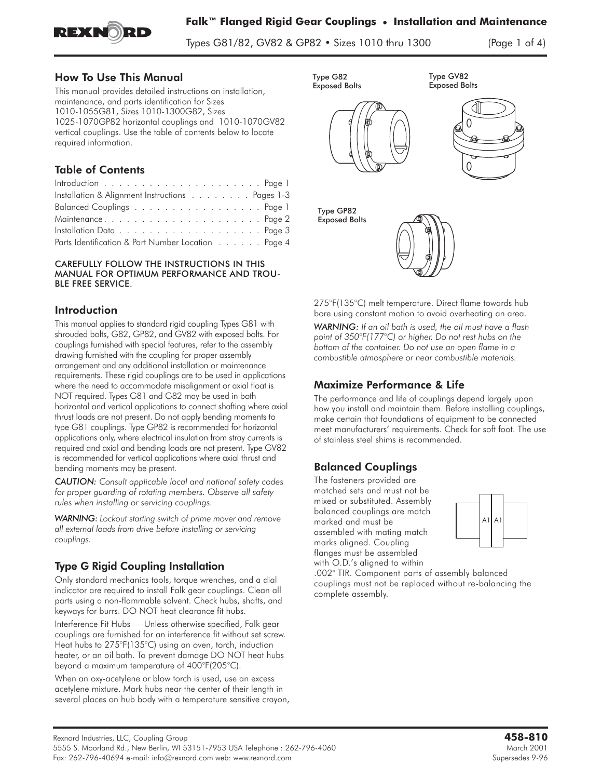

**Falk™ Flanged Rigid Gear Couplings • Installation and Maintenance**

Types G81/82, GV82 & GP82 • Sizes 1010 thru 1300 (Page 1 of 4)

### How To Use This Manual

This manual provides detailed instructions on installation, maintenance, and parts identification for Sizes 1010-1055G81, Sizes 1010-1300G82, Sizes 1025-1070GP82 horizontal couplings and 1010-1070GV82 vertical couplings. Use the table of contents below to locate required information.

# Table of Contents

| Installation & Alignment Instructions Pages 1-3    |  |
|----------------------------------------------------|--|
| Balanced Couplings Page 1                          |  |
|                                                    |  |
|                                                    |  |
| Parts Identification & Part Number Location Page 4 |  |

#### CAREFULLY FOLLOW THE INSTRUCTIONS IN THIS MANUAL FOR OPTIMUM PERFORMANCE AND TROU-BLE FREE SERVICE.

### **Introduction**

This manual applies to standard rigid coupling Types G81 with shrouded bolts, G82, GP82, and GV82 with exposed bolts. For couplings furnished with special features, refer to the assembly drawing furnished with the coupling for proper assembly arrangement and any additional installation or maintenance requirements. These rigid couplings are to be used in applications where the need to accommodate misalignment or axial float is NOT required. Types G81 and G82 may be used in both horizontal and vertical applications to connect shafting where axial thrust loads are not present. Do not apply bending moments to type G81 couplings. Type GP82 is recommended for horizontal applications only, where electrical insulation from stray currents is required and axial and bending loads are not present. Type GV82 is recommended for vertical applications where axial thrust and bending moments may be present.

*CAUTION: Consult applicable local and national safety codes for proper guarding of rotating members. Observe all safety rules when installing or servicing couplings.*

*WARNING: Lockout starting switch of prime mover and remove all external loads from drive before installing or servicing couplings.*

## Type G Rigid Coupling Installation

**Only standard mechanics tools, torque wrenches, and a dial indicator are required to install Falk gear couplings. Clean all parts using a non-flammable solvent. Check hubs, shafts, and keyways for burrs. DO NOT heat clearance fit hubs.**

Interference Fit Hubs — **Unless otherwise specified, Falk gear couplings are furnished for an interference fit without set screw. Heat hubs to 275°F(135°C) using an oven, torch, induction heater, or an oil bath. To prevent damage DO NOT heat hubs beyond a maximum temperature of 400°F(205°C).**

**When an oxy-acetylene or blow torch is used, use an excess acetylene mixture. Mark hubs near the center of their length in several places on hub body with a temperature sensitive crayon,**





Type GP82 Exposed Bolts



**275°F(135°C) melt temperature. Direct flame towards hub bore using constant motion to avoid overheating an area.** *WARNING: If an oil bath is used, the oil must have a flash point of 350°F(177°C) or higher. Do not rest hubs on the bottom of the container. Do not use an open flame in a combustible atmosphere or near combustible materials.*

## Maximize Performance & Life

**The performance and life of couplings depend largely upon how you install and maintain them. Before installing couplings, make certain that foundations of equipment to be connected meet manufacturers' requirements. Check for soft foot. The use of stainless steel shims is recommended.**

## Balanced Couplings

**The fasteners provided are matched sets and must not be mixed or substituted. Assembly balanced couplings are match marked and must be assembled with mating match marks aligned. Coupling flanges must be assembled with O.D.'s aligned to within**



**.002" TIR. Component parts of assembly balanced couplings must not be replaced without re-balancing the complete assembly.**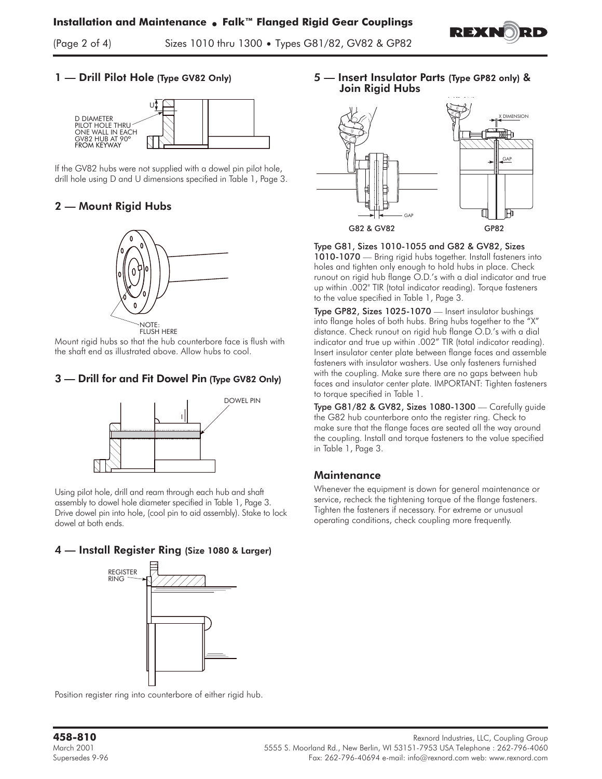

 $\sum_{i=1}^n$  of  $\sum_{i=1}^n$ 

### 1 — Drill Pilot Hole (Type GV82 Only)



If the GV82 hubs were not supplied with a dowel pin pilot hole, drill hole using D and U dimensions specified in Table 1, Page 3.

### 2 — Mount Rigid Hubs



NOTE:<br>FLUSH HERE

Mount rigid hubs so that the hub counterbore face is flush with the shaft end as illustrated above. Allow hubs to cool.

### 3 — Drill for and Fit Dowel Pin (Type GV82 Only)



Using pilot hole, drill and ream through each hub and shaft assembly to dowel hole diameter specified in Table 1, Page 3. Drive dowel pin into hole, (cool pin to aid assembly). Stake to lock dowel at both ends.

#### 4 — Install Register Ring (Size 1080 & Larger)



Position register ring into counterbore of either rigid hub.

5 — Insert Insulator Parts (Type GP82 only) & Join Rigid Hubs



Type G81, Sizes 1010-1055 and G82 & GV82, Sizes 1010-1070 — Bring rigid hubs together. Install fasteners into holes and tighten only enough to hold hubs in place. Check runout on rigid hub flange O.D.'s with a dial indicator and true up within .002" TIR (total indicator reading). Torque fasteners to the value specified in Table 1, Page 3.

Type GP82, Sizes 1025-1070 — Insert insulator bushings into flange holes of both hubs. Bring hubs together to the "X" distance. Check runout on rigid hub flange O.D.'s with a dial indicator and true up within .002" TIR (total indicator reading). Insert insulator center plate between flange faces and assemble fasteners with insulator washers. Use only fasteners furnished with the coupling. Make sure there are no gaps between hub faces and insulator center plate. IMPORTANT: Tighten fasteners to torque specified in Table 1.

Type G81/82 & GV82, Sizes 1080-1300 — Carefully guide the G82 hub counterbore onto the register ring. Check to make sure that the flange faces are seated all the way around the coupling. Install and torque fasteners to the value specified in Table 1, Page 3.

#### **Maintenance**

Whenever the equipment is down for general maintenance or service, recheck the tightening torque of the flange fasteners. Tighten the fasteners if necessary. For extreme or unusual operating conditions, check coupling more frequently.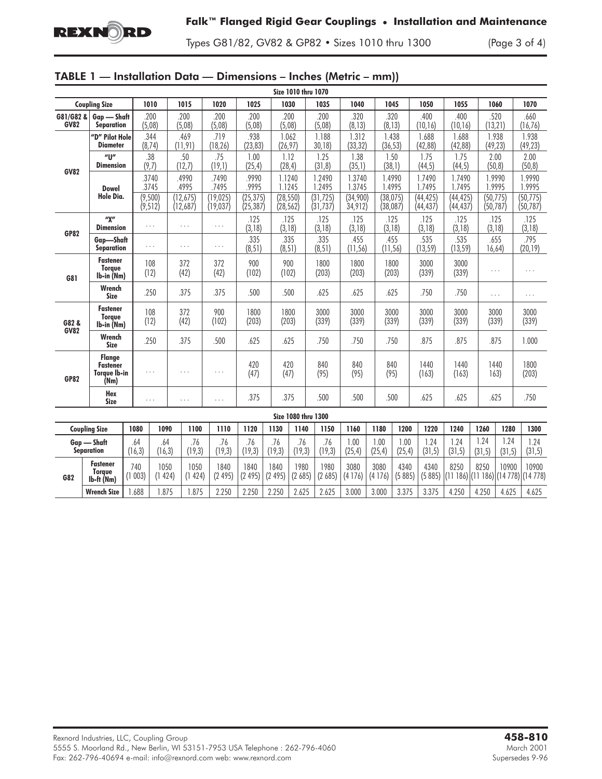

Types G81/82, GV82 & GP82 • Sizes 1010 thru 1300 (Page 3 of 4)

|  |  |  |  |  | TABLE 1 — Installation Data — Dimensions – Inches (Metric – mm)) |  |
|--|--|--|--|--|------------------------------------------------------------------|--|
|--|--|--|--|--|------------------------------------------------------------------|--|

|                                  | <b>Size 1010 thru 1070</b>                               |                |                     |                       |                       |                                    |                   |                        |                        |                     |                   |                                   |                        |                        |                   |                        |                                              |
|----------------------------------|----------------------------------------------------------|----------------|---------------------|-----------------------|-----------------------|------------------------------------|-------------------|------------------------|------------------------|---------------------|-------------------|-----------------------------------|------------------------|------------------------|-------------------|------------------------|----------------------------------------------|
|                                  | <b>Coupling Size</b>                                     |                | 1010                | 1015                  | 1020                  | 1025                               |                   | 1030                   | 1035                   | 1040                |                   | 1045                              | 1050                   | 1055                   |                   | 1060                   | 1070                                         |
| G81/G82 &<br><b>GV82</b>         | Gap - Shaft<br><b>Separation</b>                         |                | .200<br>(5,08)      | .200<br>(5,08)        | .200<br>(5,08)        | .200<br>(5,08)                     |                   | .200<br>(5,08)         | .200<br>(5,08)         | .320<br>(8, 13)     |                   | .320<br>(8, 13)                   | .400<br>(10, 16)       | .400<br>(10, 16)       | .520<br>(13, 21)  |                        | .660<br>(16, 76)                             |
| <b>GV82</b>                      | "D" Pilot Hole<br><b>Diameter</b>                        |                | .344<br>(8, 74)     | .469<br>(11, 91)      | .719<br>(18, 26)      | .938<br>(23, 83)                   | 1.062<br>(26, 97) |                        | 1.188<br>30,18         | 1.312<br>(33, 32)   | 1.438<br>(36, 53) |                                   | 1.688<br>(42, 88)      | 1.688<br>(42, 88)      | 1.938<br>(49, 23) |                        | 1.938<br>(49, 23)                            |
|                                  | $^{\prime\prime}$<br>.38<br>(9,7)<br><b>Dimension</b>    |                |                     | .50<br>(12,7)         | .75<br>(19,1)         | 1.00<br>(25, 4)                    |                   | 1.12<br>(28, 4)        | 1.25<br>(31, 8)        | 1.38<br>(35,1)      |                   | 1.50<br>1.75<br>(38,1)<br>(44, 5) |                        | 1.75<br>(44, 5)        | 2.00<br>(50, 8)   |                        | 2.00<br>(50, 8)                              |
|                                  | Dowel                                                    |                | .3740<br>3745       | .4990<br>.4995        | .7490<br>.7495        | .9990<br>.9995                     |                   | 1.1240<br>1.1245       | 1.2490<br>1.2495       | 1.3740<br>1.3745    |                   | 1.4990<br>1.4995                  | 1.7490<br>1.7495       | 1.7490<br>1.7495       |                   | 1.9990<br>1.9995       | 1.9990<br>1.9995                             |
|                                  | Hole Dia.                                                |                | (9,500)<br>(9, 512) | (12, 675)<br>(12,687) | (19, 025)<br>(19,037) | (25, 375)<br>(25, 387)             |                   | (28, 550)<br>(28, 562) | (31, 725)<br>(31, 737) | (34,900)<br>34,912) |                   | (38, 075)<br>(38,087)             | (44, 425)<br>(44, 437) | (44, 425)<br>(44, 437) |                   | (50, 775)<br>(50, 787) | (50, 775)<br>(50, 787)                       |
| <b>GP82</b>                      | ''X''<br><b>Dimension</b>                                | .              |                     | .                     | $\ldots$              | .125<br>(3, 18)                    |                   | .125<br>(3, 18)        | .125<br>(3, 18)        | .125<br>(3, 18)     |                   | .125<br>(3, 18)                   | .125<br>(3, 18)        | .125<br>(3, 18)        |                   | .125<br>(3, 18)        | .125<br>(3, 18)                              |
|                                  | Gap-Shaft<br><b>Separation</b>                           | $\ldots$       |                     | $\cdots$              | $\cdots$              | .335<br>.335<br>(8, 51)<br>(8, 51) |                   |                        | .335<br>(8, 51)        | .455<br>(11, 56)    |                   | .455<br>(11, 56)                  | .535<br>(13, 59)       | .535<br>(13, 59)       |                   | .655<br>16,64)         | .795<br>(20, 19)                             |
| G81                              | <b>Fastener</b><br><b>Torque</b><br>Ib-in (Nm)           | 108<br>(12)    |                     | 372<br>(42)           | 372<br>(42)           | 900<br>(102)                       |                   | 900<br>(102)           | 1800<br>(203)          | 1800<br>(203)       |                   | 1800<br>(203)                     | 3000<br>(339)          | 3000<br>(339)          |                   | .                      | .                                            |
|                                  | Wrench<br>.250<br>Size                                   |                | .375                | .375                  | .500                  |                                    | .500              | .625                   | .625                   |                     | .625              | .750                              | .750                   | $\cdots$               |                   | $\cdots$               |                                              |
| G82 &                            | <b>Fastener</b><br><b>Toraue</b><br>lb-in (Nm)           | 108<br>(12)    |                     | 372<br>(42)           | 900<br>(102)          | 1800<br>(203)                      | 1800<br>(203)     |                        | 3000<br>(339)          | 3000<br>(339)       | 3000<br>(339)     |                                   | 3000<br>(339)          | 3000<br>(339)          |                   | 3000<br>(339)          | 3000<br>(339)                                |
| <b>GV82</b>                      | Wrench<br><b>Size</b>                                    | .250           |                     | .375                  | .500                  | .625                               |                   | .625                   | .750                   | .750                | .750              |                                   | .875                   | .875                   |                   | .875                   | 1.000                                        |
| <b>GP82</b>                      | <b>Flange</b><br><b>Fastener</b><br>Torque Ib-in<br>(Nm) | .<br>$\cdots$  |                     | $\cdots$              | 420<br>(47)           |                                    | 420<br>(47)       | 840<br>(95)            | 840<br>(95)            | 840<br>(95)         |                   | 1440<br>(163)                     |                        |                        | 1440<br>163)      | 1800<br>(203)          |                                              |
|                                  | Hex<br><b>Size</b>                                       |                | .                   | .                     | $\cdots$              | .375                               |                   | .375                   | .500                   | .500                |                   | .500                              | .625                   | .625                   |                   | .625                   | .750                                         |
| Size 1080 thru 1300              |                                                          |                |                     |                       |                       |                                    |                   |                        |                        |                     |                   |                                   |                        |                        |                   |                        |                                              |
|                                  | <b>Coupling Size</b>                                     | 1080           | 1090                | 1100                  | 1110                  | 1120                               | 1130              | 1140                   | 1150                   | 1160                | 1180              | 1200                              | 1220                   | 1240                   | 1260              | 1280                   | 1300                                         |
| Gap — Shaft<br><b>Separation</b> |                                                          | .64<br>(16, 3) | .64<br>(16, 3)      | .76<br>(19,3)         | .76<br>(19, 3)        | .76<br>(19, 3)                     | .76<br>(19, 3)    | .76<br>(19, 3)         | .76<br>(19, 3)         | 1.00<br>(25, 4)     | 1.00<br>(25, 4)   | 1.00<br>(25, 4)                   | 1.24<br>(31, 5)        | 1.24<br>(31, 5)        | 1.24<br>(31, 5)   | 1.24<br>(31, 5)        | 1.24<br>(31, 5)                              |
| G82                              | <b>Fastener</b><br><b>Torque</b><br>$Ib$ -ft (Nm)        | 740<br>(1003)  | 1050<br>(1424)      | 1050<br>(1424)        | 1840<br>(2495)        | 1840<br>(2495)                     | 1840<br>(2495)    | 1980<br>(2685)         | 1980<br>(2685)         | 3080<br>(4176)      | 3080<br>(4176)    | 4340<br>(5885)                    | 4340<br>(5885)         | 8250                   | 8250              | 10900                  | 10900<br>(11 186) (11 186) (14 778) (14 778) |
|                                  | <b>Wrench Size</b>                                       | 1.688          | 1.875               | 1.875                 | 2.250                 | 2.250                              | 2.250             | 2.625                  | 2.625                  | 3.000               | 3.000             | 3.375                             | 3.375                  | 4.250                  | 4.250             | 4.625                  | 4.625                                        |